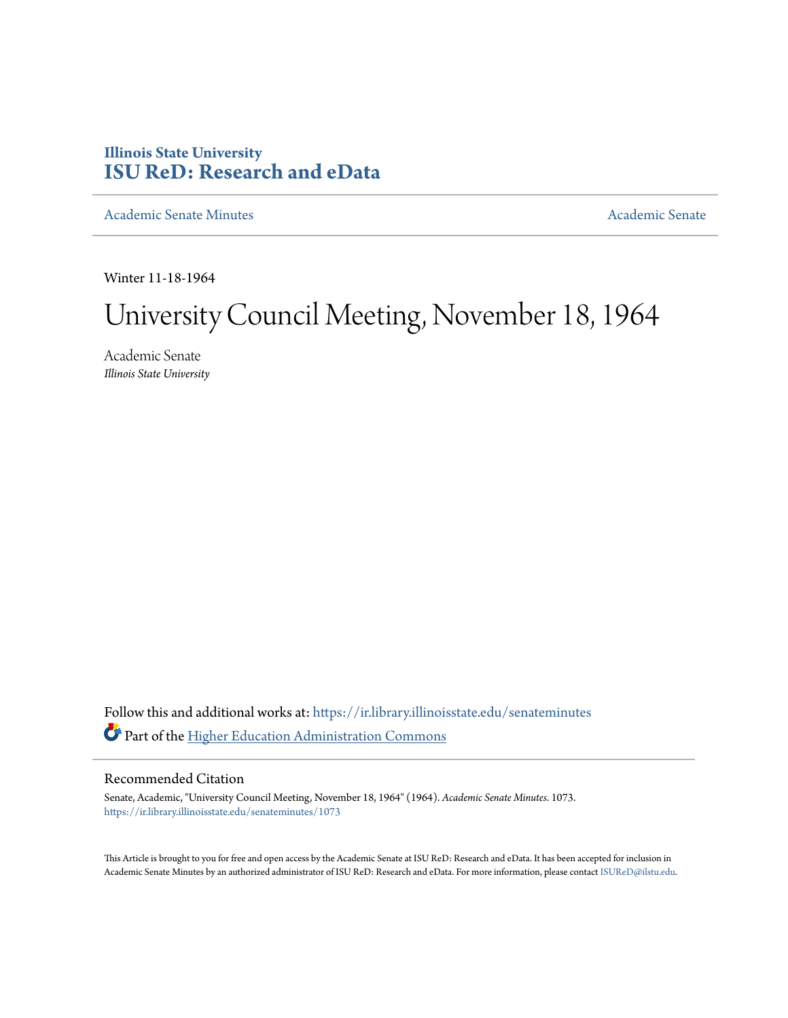# **Illinois State University [ISU ReD: Research and eData](https://ir.library.illinoisstate.edu?utm_source=ir.library.illinoisstate.edu%2Fsenateminutes%2F1073&utm_medium=PDF&utm_campaign=PDFCoverPages)**

[Academic Senate Minutes](https://ir.library.illinoisstate.edu/senateminutes?utm_source=ir.library.illinoisstate.edu%2Fsenateminutes%2F1073&utm_medium=PDF&utm_campaign=PDFCoverPages) [Academic Senate](https://ir.library.illinoisstate.edu/senate?utm_source=ir.library.illinoisstate.edu%2Fsenateminutes%2F1073&utm_medium=PDF&utm_campaign=PDFCoverPages) Academic Senate

Winter 11-18-1964

# University Council Meeting, November 18, 1964

Academic Senate *Illinois State University*

Follow this and additional works at: [https://ir.library.illinoisstate.edu/senateminutes](https://ir.library.illinoisstate.edu/senateminutes?utm_source=ir.library.illinoisstate.edu%2Fsenateminutes%2F1073&utm_medium=PDF&utm_campaign=PDFCoverPages) Part of the [Higher Education Administration Commons](http://network.bepress.com/hgg/discipline/791?utm_source=ir.library.illinoisstate.edu%2Fsenateminutes%2F1073&utm_medium=PDF&utm_campaign=PDFCoverPages)

# Recommended Citation

Senate, Academic, "University Council Meeting, November 18, 1964" (1964). *Academic Senate Minutes*. 1073. [https://ir.library.illinoisstate.edu/senateminutes/1073](https://ir.library.illinoisstate.edu/senateminutes/1073?utm_source=ir.library.illinoisstate.edu%2Fsenateminutes%2F1073&utm_medium=PDF&utm_campaign=PDFCoverPages)

This Article is brought to you for free and open access by the Academic Senate at ISU ReD: Research and eData. It has been accepted for inclusion in Academic Senate Minutes by an authorized administrator of ISU ReD: Research and eData. For more information, please contact [ISUReD@ilstu.edu.](mailto:ISUReD@ilstu.edu)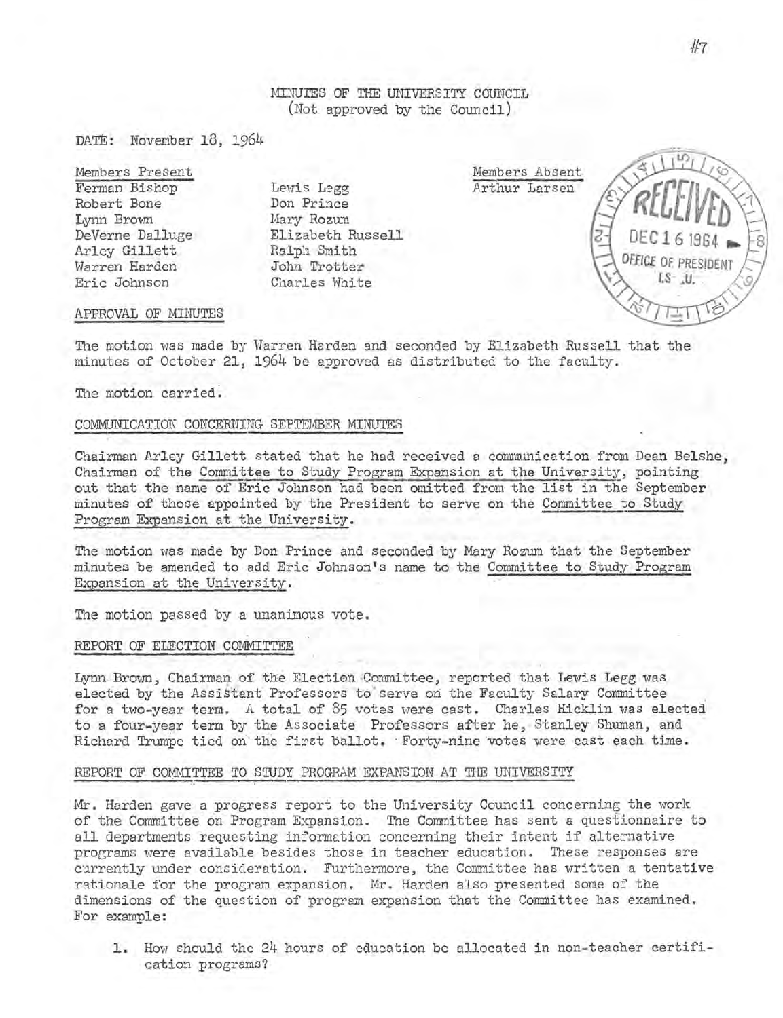MINUTES OF THE UNIVERSITY COUNCIL (Not approved by the Council)

DATE: November 18, 1964

Members Present Ferman Bishop Robert Bone Lynn Brovm DeVerne Dalluge Arley Gillett Warren Harden Eric Johnson

Lewis Legg Don Prince Mary Rozum Elizabeth Russell Ralph Smith John Trotter Charles White

Members Absent Arthur Larsen OFFICE OF PRESIDE  $LS - JJ$ 

#### APPROVAL OF MINUTES

The motion was made by Warren Harden and seconded by Elizabeth Russell that the minutes of October 21, 1964 be approved as distributed to the faculty.

The motion carried.

## COMMUNICATION CONCERNING SEPTEMBER MINUTES

Chairman Arley Gillett stated that he had received a communication from Dean Belshe, Chairman of the Committee to Study Program Expansion at the University, pointing out that the name of Eric Johnson had been omitted from the list in the September minutes of those appointed by the President to serve on the Committee to Study Program Expansion at the University.

The motion was made by Don Prince and seconded by Mary Rozum that the September minutes be amended to add Eric· Johnson's name to the Committee to Study Program Expansion at the University.

The motion passed by a unanimous vote.

#### REPORT OF ELECTION COMMITTEE

Lynn Brown, Chairman of the Election Committee, reported that Lewis Legg was elected by the Assistant Professors to serve on the Faculty Salary Committee for a two-year term. A total of 85 votes were cast. Charles Hicklin was elected to a four-year term by the Associate Professors after he, Stanley Shuman, and Richard Trumpe tied on the first ballot. Forty-nine votes were cast each time.

## REPORT OF COMMITTEE TO STUDY PROGRAM EXPANSION AT THE UNIVERSITY

Mr. Harden gave a progress report to the University Council concerning the work of the Committee on Program Expansion. The Committee has sent a questionnaire to all departments requesting information concerning their intent if alternative programs were available besides those in teacher education. 'l'hese responses are currently under consideration. Furthermore, the Committee has written a tentative rationale for the program expansion. Mr. Harden also presented some of the dimensions of the question of program expansion that the Committee has examined. For example:

1. How should the 24 hours of education be allocated in non-teacher certification programs?